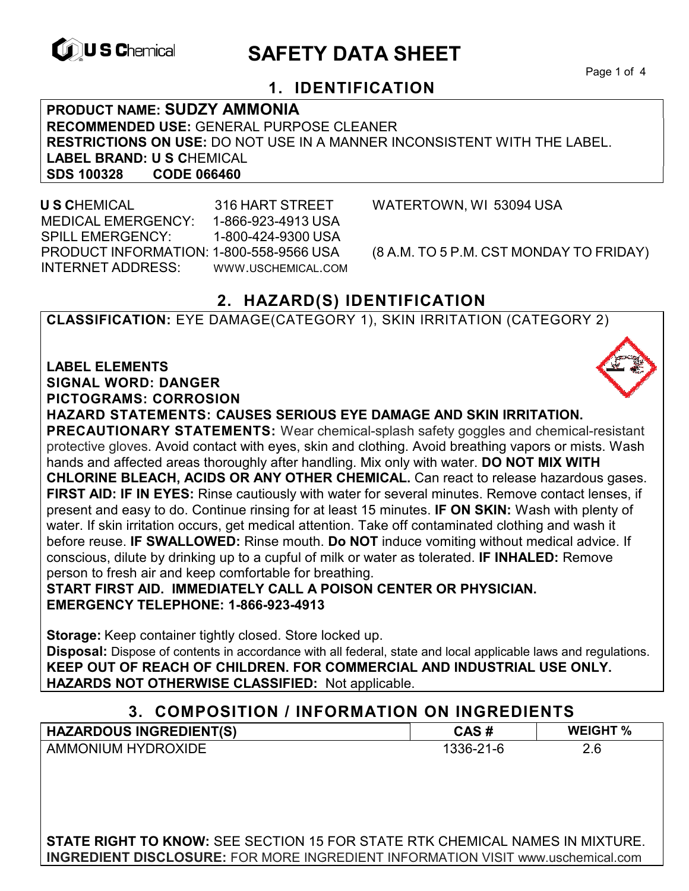

# **EXAGREM** SAFETY DATA SHEET

Page 1 of 4

## **1. IDENTIFICATION**

**PRODUCT NAME: SUDZY AMMONIA RECOMMENDED USE:** GENERAL PURPOSE CLEANER **RESTRICTIONS ON USE:** DO NOT USE IN A MANNER INCONSISTENT WITH THE LABEL. **LABEL BRAND: U S C**HEMICAL **SDS 100328** 

 **U S C**HEMICAL 316 HART STREET WATERTOWN, WI 53094 USA MEDICAL EMERGENCY: 1-866-923-4913 USA SPILL EMERGENCY: 1-800-424-9300 USA PRODUCT INFORMATION: 1-800-558-9566 USA (8 A.M. TO 5 P.M. CST MONDAY TO FRIDAY) INTERNET ADDRESS: WWW.USCHEMICAL.COM

## **2. HAZARD(S) IDENTIFICATION**

**CLASSIFICATION:** EYE DAMAGE(CATEGORY 1), SKIN IRRITATION (CATEGORY 2)

**LABEL ELEMENTS SIGNAL WORD: DANGER PICTOGRAMS: CORROSION**

**HAZARD STATEMENTS: CAUSES SERIOUS EYE DAMAGE AND SKIN IRRITATION.** 

**PRECAUTIONARY STATEMENTS:** Wear chemical-splash safety goggles and chemical-resistant protective gloves. Avoid contact with eyes, skin and clothing. Avoid breathing vapors or mists. Wash hands and affected areas thoroughly after handling. Mix only with water. **DO NOT MIX WITH CHLORINE BLEACH, ACIDS OR ANY OTHER CHEMICAL.** Can react to release hazardous gases. **FIRST AID: IF IN EYES:** Rinse cautiously with water for several minutes. Remove contact lenses, if present and easy to do. Continue rinsing for at least 15 minutes. **IF ON SKIN:** Wash with plenty of water. If skin irritation occurs, get medical attention. Take off contaminated clothing and wash it before reuse. **IF SWALLOWED:** Rinse mouth. **Do NOT** induce vomiting without medical advice. If conscious, dilute by drinking up to a cupful of milk or water as tolerated. **IF INHALED:** Remove person to fresh air and keep comfortable for breathing.

**START FIRST AID. IMMEDIATELY CALL A POISON CENTER OR PHYSICIAN. EMERGENCY TELEPHONE: 1-866-923-4913**

**Storage:** Keep container tightly closed. Store locked up. **Disposal:** Dispose of contents in accordance with all federal, state and local applicable laws and regulations. **KEEP OUT OF REACH OF CHILDREN. FOR COMMERCIAL AND INDUSTRIAL USE ONLY. HAZARDS NOT OTHERWISE CLASSIFIED:** Not applicable.

| 3. COMPOSITION / INFORMATION ON INGREDIENTS |           |                 |  |
|---------------------------------------------|-----------|-----------------|--|
| <b>HAZARDOUS INGREDIENT(S)</b>              | CAS#      | <b>WEIGHT %</b> |  |
| <b>AMMONIUM HYDROXIDE</b>                   | 1336-21-6 | 2.6             |  |

**STATE RIGHT TO KNOW:** SEE SECTION 15 FOR STATE RTK CHEMICAL NAMES IN MIXTURE. **INGREDIENT DISCLOSURE:** FOR MORE INGREDIENT INFORMATION VISIT www.uschemical.com

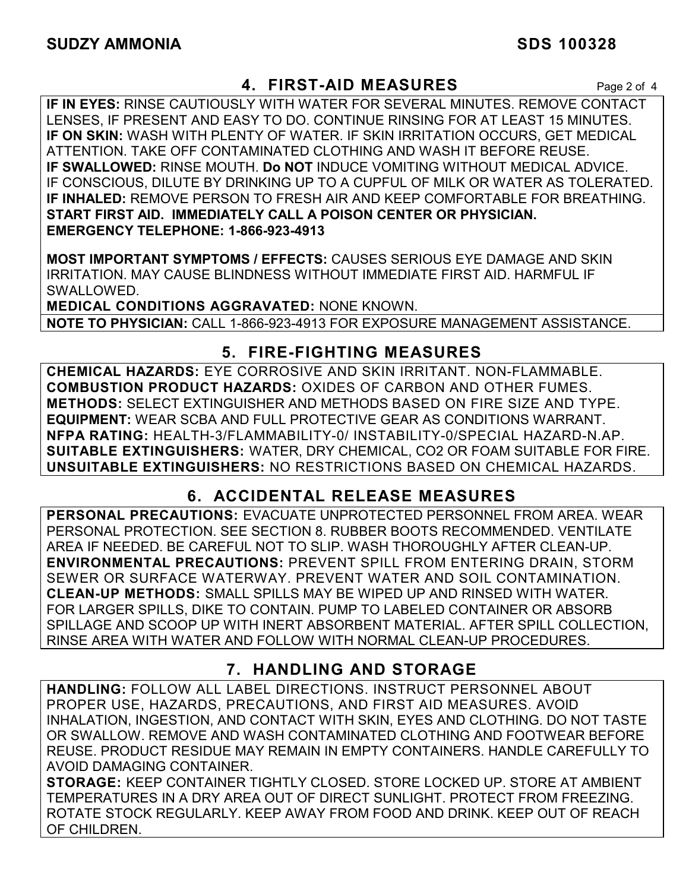### **4. FIRST-AID MEASURES** Page 2 of 4

**IF IN EYES:** RINSE CAUTIOUSLY WITH WATER FOR SEVERAL MINUTES. REMOVE CONTACT LENSES, IF PRESENT AND EASY TO DO. CONTINUE RINSING FOR AT LEAST 15 MINUTES. **IF ON SKIN:** WASH WITH PLENTY OF WATER. IF SKIN IRRITATION OCCURS, GET MEDICAL ATTENTION. TAKE OFF CONTAMINATED CLOTHING AND WASH IT BEFORE REUSE. **IF SWALLOWED:** RINSE MOUTH. **Do NOT** INDUCE VOMITING WITHOUT MEDICAL ADVICE. IF CONSCIOUS, DILUTE BY DRINKING UP TO A CUPFUL OF MILK OR WATER AS TOLERATED. **IF INHALED:** REMOVE PERSON TO FRESH AIR AND KEEP COMFORTABLE FOR BREATHING. **START FIRST AID. IMMEDIATELY CALL A POISON CENTER OR PHYSICIAN. EMERGENCY TELEPHONE: 1-866-923-4913**

**MOST IMPORTANT SYMPTOMS / EFFECTS:** CAUSES SERIOUS EYE DAMAGE AND SKIN IRRITATION. MAY CAUSE BLINDNESS WITHOUT IMMEDIATE FIRST AID. HARMFUL IF SWALLOWED.

**MEDICAL CONDITIONS AGGRAVATED:** NONE KNOWN. **NOTE TO PHYSICIAN:** CALL 1-866-923-4913 FOR EXPOSURE MANAGEMENT ASSISTANCE.

### **5. FIRE-FIGHTING MEASURES**

**CHEMICAL HAZARDS:** EYE CORROSIVE AND SKIN IRRITANT. NON-FLAMMABLE. **COMBUSTION PRODUCT HAZARDS:** OXIDES OF CARBON AND OTHER FUMES. **METHODS:** SELECT EXTINGUISHER AND METHODS BASED ON FIRE SIZE AND TYPE. **EQUIPMENT:** WEAR SCBA AND FULL PROTECTIVE GEAR AS CONDITIONS WARRANT. **NFPA RATING:** HEALTH-3/FLAMMABILITY-0/ INSTABILITY-0/SPECIAL HAZARD-N.AP. **SUITABLE EXTINGUISHERS:** WATER, DRY CHEMICAL, CO2 OR FOAM SUITABLE FOR FIRE. **UNSUITABLE EXTINGUISHERS:** NO RESTRICTIONS BASED ON CHEMICAL HAZARDS.

# **6. ACCIDENTAL RELEASE MEASURES**

**PERSONAL PRECAUTIONS:** EVACUATE UNPROTECTED PERSONNEL FROM AREA. WEAR PERSONAL PROTECTION. SEE SECTION 8. RUBBER BOOTS RECOMMENDED. VENTILATE AREA IF NEEDED. BE CAREFUL NOT TO SLIP. WASH THOROUGHLY AFTER CLEAN-UP. **ENVIRONMENTAL PRECAUTIONS:** PREVENT SPILL FROM ENTERING DRAIN, STORM SEWER OR SURFACE WATERWAY. PREVENT WATER AND SOIL CONTAMINATION. **CLEAN-UP METHODS:** SMALL SPILLS MAY BE WIPED UP AND RINSED WITH WATER. FOR LARGER SPILLS, DIKE TO CONTAIN. PUMP TO LABELED CONTAINER OR ABSORB SPILLAGE AND SCOOP UP WITH INERT ABSORBENT MATERIAL. AFTER SPILL COLLECTION, RINSE AREA WITH WATER AND FOLLOW WITH NORMAL CLEAN-UP PROCEDURES.

# **7. HANDLING AND STORAGE**

**HANDLING:** FOLLOW ALL LABEL DIRECTIONS. INSTRUCT PERSONNEL ABOUT PROPER USE, HAZARDS, PRECAUTIONS, AND FIRST AID MEASURES. AVOID INHALATION, INGESTION, AND CONTACT WITH SKIN, EYES AND CLOTHING. DO NOT TASTE OR SWALLOW. REMOVE AND WASH CONTAMINATED CLOTHING AND FOOTWEAR BEFORE REUSE. PRODUCT RESIDUE MAY REMAIN IN EMPTY CONTAINERS. HANDLE CAREFULLY TO AVOID DAMAGING CONTAINER.

**STORAGE:** KEEP CONTAINER TIGHTLY CLOSED. STORE LOCKED UP. STORE AT AMBIENT TEMPERATURES IN A DRY AREA OUT OF DIRECT SUNLIGHT. PROTECT FROM FREEZING. ROTATE STOCK REGULARLY. KEEP AWAY FROM FOOD AND DRINK. KEEP OUT OF REACH OF CHILDREN.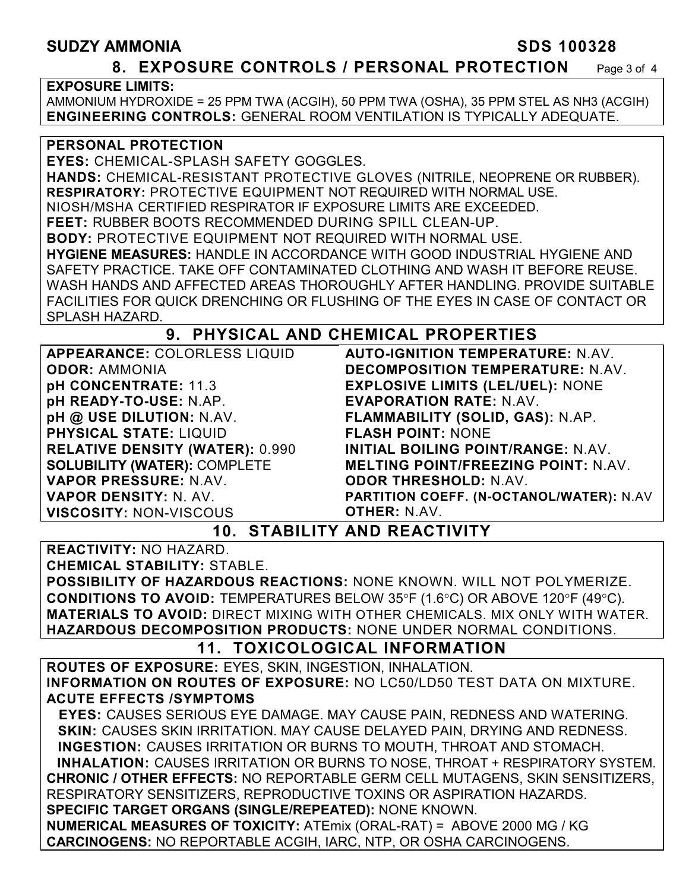#### **SUDZY AMMONIA SDS 100328**

#### **8. EXPOSURE CONTROLS / PERSONAL PROTECTION** Page 3 of 4

#### **EXPOSURE LIMITS:**

AMMONIUM HYDROXIDE = 25 PPM TWA (ACGIH), 50 PPM TWA (OSHA), 35 PPM STEL AS NH3 (ACGIH) **ENGINEERING CONTROLS:** GENERAL ROOM VENTILATION IS TYPICALLY ADEQUATE.

#### **PERSONAL PROTECTION**

**EYES:** CHEMICAL-SPLASH SAFETY GOGGLES. **HANDS:** CHEMICAL-RESISTANT PROTECTIVE GLOVES (NITRILE, NEOPRENE OR RUBBER). **RESPIRATORY:** PROTECTIVE EQUIPMENT NOT REQUIRED WITH NORMAL USE. NIOSH/MSHA CERTIFIED RESPIRATOR IF EXPOSURE LIMITS ARE EXCEEDED. **FEET:** RUBBER BOOTS RECOMMENDED DURING SPILL CLEAN-UP. **BODY:** PROTECTIVE EQUIPMENT NOT REQUIRED WITH NORMAL USE. **HYGIENE MEASURES:** HANDLE IN ACCORDANCE WITH GOOD INDUSTRIAL HYGIENE AND SAFETY PRACTICE. TAKE OFF CONTAMINATED CLOTHING AND WASH IT BEFORE REUSE. WASH HANDS AND AFFECTED AREAS THOROUGHLY AFTER HANDLING. PROVIDE SUITABLE FACILITIES FOR QUICK DRENCHING OR FLUSHING OF THE EYES IN CASE OF CONTACT OR SPLASH HAZARD.

#### **9. PHYSICAL AND CHEMICAL PROPERTIES**

| <b>APPEARANCE: COLORLESS LIQUID</b>    |
|----------------------------------------|
| <b>ODOR: AMMONIA</b>                   |
| pH CONCENTRATE: 11.3                   |
| pH READY-TO-USE: N.AP.                 |
| pH @ USE DILUTION: N.AV.               |
| <b>PHYSICAL STATE: LIQUID</b>          |
| <b>RELATIVE DENSITY (WATER): 0.990</b> |
| <b>SOLUBILITY (WATER): COMPLETE</b>    |
| <b>VAPOR PRESSURE: N.AV.</b>           |
| <b>VAPOR DENSITY: N. AV.</b>           |
| <b>VISCOSITY: NON-VISCOUS</b>          |

**AUTO-IGNITION TEMPERATURE:** N.AV. **DECOMPOSITION TEMPERATURE:** N.AV. **EXPLOSIVE LIMITS (LEL/UEL):** NONE **EVAPORATION RATE:** N.AV. **FLAMMABILITY (SOLID, GAS):** N.AP. **FLASH POINT:** NONE **INITIAL BOILING POINT/RANGE:** N.AV. **MELTING POINT/FREEZING POINT:** N.AV. **ODOR THRESHOLD:** N.AV. **PARTITION COEFF. (N-OCTANOL/WATER):** N.AV **OTHER:** N.AV.

#### **10. STABILITY AND REACTIVITY**

**REACTIVITY:** NO HAZARD. **CHEMICAL STABILITY:** STABLE.

**POSSIBILITY OF HAZARDOUS REACTIONS:** NONE KNOWN. WILL NOT POLYMERIZE. **CONDITIONS TO AVOID:** TEMPERATURES BELOW 35°F (1.6°C) OR ABOVE 120°F (49°C). **MATERIALS TO AVOID:** DIRECT MIXING WITH OTHER CHEMICALS. MIX ONLY WITH WATER. **HAZARDOUS DECOMPOSITION PRODUCTS:** NONE UNDER NORMAL CONDITIONS.

#### **11. TOXICOLOGICAL INFORMATION**

**ROUTES OF EXPOSURE:** EYES, SKIN, INGESTION, INHALATION. **INFORMATION ON ROUTES OF EXPOSURE:** NO LC50/LD50 TEST DATA ON MIXTURE. **ACUTE EFFECTS /SYMPTOMS**

 **EYES:** CAUSES SERIOUS EYE DAMAGE. MAY CAUSE PAIN, REDNESS AND WATERING. **SKIN:** CAUSES SKIN IRRITATION. MAY CAUSE DELAYED PAIN, DRYING AND REDNESS. **INGESTION:** CAUSES IRRITATION OR BURNS TO MOUTH, THROAT AND STOMACH. **INHALATION:** CAUSES IRRITATION OR BURNS TO NOSE, THROAT + RESPIRATORY SYSTEM. **CHRONIC / OTHER EFFECTS:** NO REPORTABLE GERM CELL MUTAGENS, SKIN SENSITIZERS, RESPIRATORY SENSITIZERS, REPRODUCTIVE TOXINS OR ASPIRATION HAZARDS. **SPECIFIC TARGET ORGANS (SINGLE/REPEATED):** NONE KNOWN. **NUMERICAL MEASURES OF TOXICITY:** ATEmix (ORAL-RAT) = ABOVE 2000 MG / KG

**CARCINOGENS:** NO REPORTABLE ACGIH, IARC, NTP, OR OSHA CARCINOGENS.